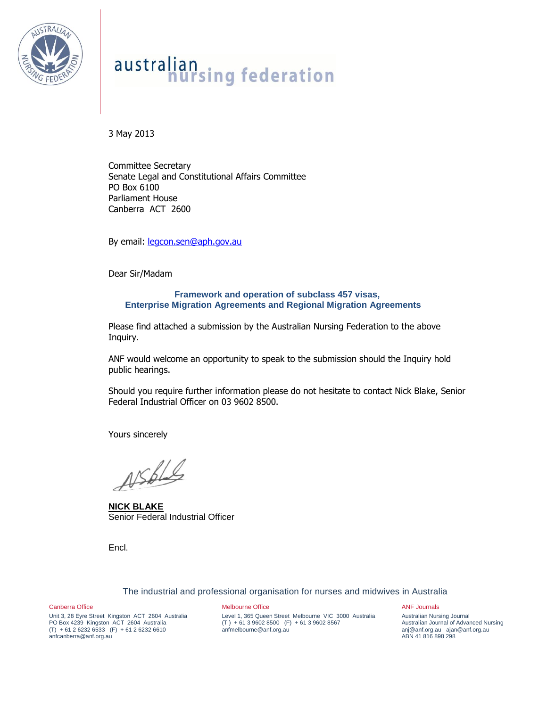

# australian<br>nursing federation

3 May 2013

Committee Secretary Senate Legal and Constitutional Affairs Committee PO Box 6100 Parliament House Canberra ACT 2600

By email: [legcon.sen@aph.gov.au](mailto:legcon.sen@aph.gov.au)

Dear Sir/Madam

### **Framework and operation of subclass 457 visas, Enterprise Migration Agreements and Regional Migration Agreements**

Please find attached a submission by the Australian Nursing Federation to the above Inquiry.

ANF would welcome an opportunity to speak to the submission should the Inquiry hold public hearings.

Should you require further information please do not hesitate to contact Nick Blake, Senior Federal Industrial Officer on 03 9602 8500.

Yours sincerely

ASSELS

**NICK BLAKE** Senior Federal Industrial Officer

Encl.

The industrial and professional organisation for nurses and midwives in Australia

Canberra Office

Unit 3, 28 Eyre Street Kingston ACT 2604 Australia PO Box 4239 Kingston ACT 2604 Australia  $(T) + 61262326533$   $(F) + 61262326610$ anfcanberra@anf.org.au

Melbourne Office Level 1, 365 Queen Street Melbourne VIC 3000 Australia (T ) + 61 3 9602 8500 (F) + 61 3 9602 8567 anfmelbourne@anf.org.au

ANF Journals

Australian Nursing Journal Australian Journal of Advanced Nursing anj@anf.org.au ajan@anf.org.au ABN 41 816 898 298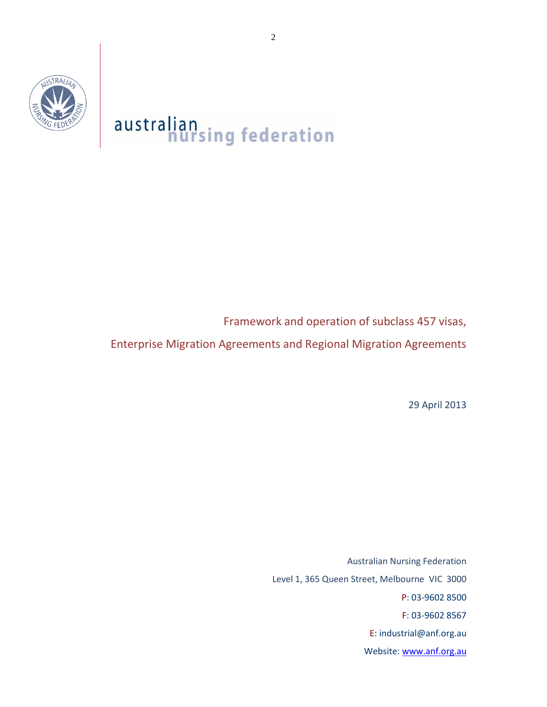

## australian<br>nursing federation

Framework and operation of subclass 457 visas,

Enterprise Migration Agreements and Regional Migration Agreements

29 April 2013

Australian Nursing Federation Level 1, 365 Queen Street, Melbourne VIC 3000 P: 03-9602 8500 F: 03-9602 8567 E: industrial@anf.org.au Website: [www.anf.org.au](http://www.anf.org.au/)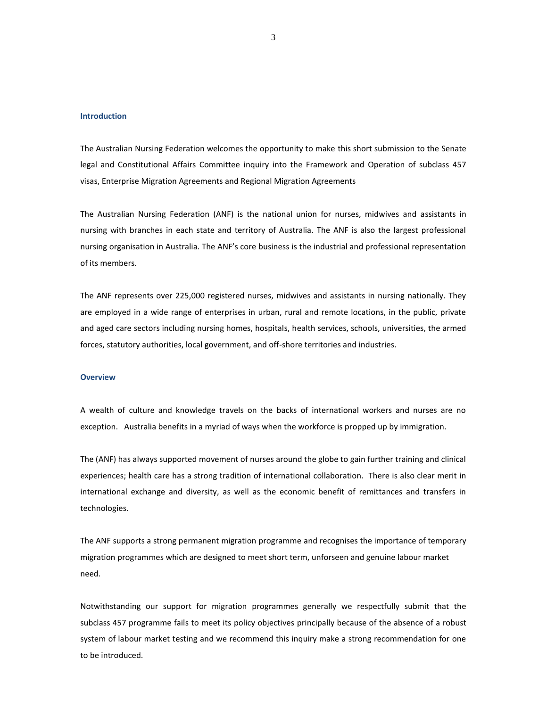#### **Introduction**

The Australian Nursing Federation welcomes the opportunity to make this short submission to the Senate legal and Constitutional Affairs Committee inquiry into the Framework and Operation of subclass 457 visas, Enterprise Migration Agreements and Regional Migration Agreements

The Australian Nursing Federation (ANF) is the national union for nurses, midwives and assistants in nursing with branches in each state and territory of Australia. The ANF is also the largest professional nursing organisation in Australia. The ANF's core business is the industrial and professional representation of its members.

The ANF represents over 225,000 registered nurses, midwives and assistants in nursing nationally. They are employed in a wide range of enterprises in urban, rural and remote locations, in the public, private and aged care sectors including nursing homes, hospitals, health services, schools, universities, the armed forces, statutory authorities, local government, and off-shore territories and industries.

#### **Overview**

A wealth of culture and knowledge travels on the backs of international workers and nurses are no exception. Australia benefits in a myriad of ways when the workforce is propped up by immigration.

The (ANF) has always supported movement of nurses around the globe to gain further training and clinical experiences; health care has a strong tradition of international collaboration. There is also clear merit in international exchange and diversity, as well as the economic benefit of remittances and transfers in technologies.

The ANF supports a strong permanent migration programme and recognises the importance of temporary migration programmes which are designed to meet short term, unforseen and genuine labour market need.

Notwithstanding our support for migration programmes generally we respectfully submit that the subclass 457 programme fails to meet its policy objectives principally because of the absence of a robust system of labour market testing and we recommend this inquiry make a strong recommendation for one to be introduced.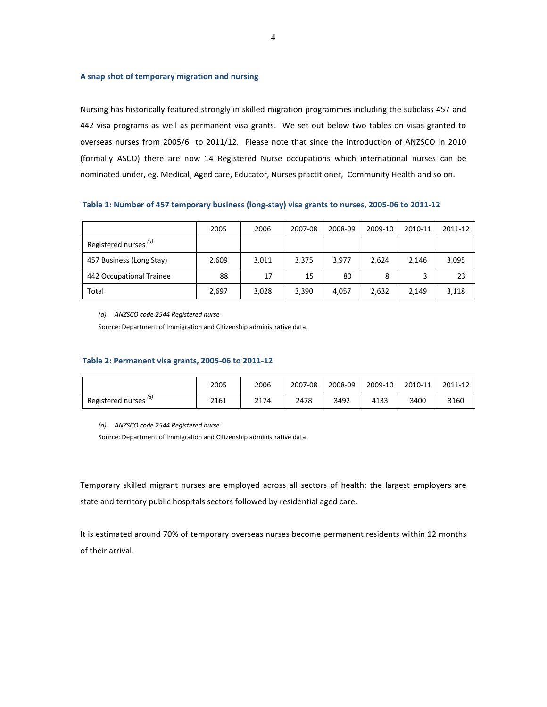#### **A snap shot of temporary migration and nursing**

Nursing has historically featured strongly in skilled migration programmes including the subclass 457 and 442 visa programs as well as permanent visa grants. We set out below two tables on visas granted to overseas nurses from 2005/6 to 2011/12. Please note that since the introduction of ANZSCO in 2010 (formally ASCO) there are now 14 Registered Nurse occupations which international nurses can be nominated under, eg. Medical, Aged care, Educator, Nurses practitioner, Community Health and so on.

**Table 1: Number of 457 temporary business (long-stay) visa grants to nurses, 2005-06 to 2011-12**

|                                  | 2005  | 2006  | 2007-08 | 2008-09 | 2009-10 | 2010-11 | 2011-12 |
|----------------------------------|-------|-------|---------|---------|---------|---------|---------|
| Registered nurses <sup>(a)</sup> |       |       |         |         |         |         |         |
| 457 Business (Long Stay)         | 2,609 | 3,011 | 3,375   | 3,977   | 2.624   | 2.146   | 3,095   |
| 442 Occupational Trainee         | 88    | 17    | 15      | 80      | 8       |         | 23      |
| Total                            | 2,697 | 3,028 | 3,390   | 4,057   | 2,632   | 2,149   | 3,118   |

*(a) ANZSCO code 2544 Registered nurse*

Source: Department of Immigration and Citizenship administrative data.

#### **Table 2: Permanent visa grants, 2005-06 to 2011-12**

|                       | 2005 | 2006 | 2007-08 | 2008-09 | 2009-10 | 2010-11 | 2011-12 |
|-----------------------|------|------|---------|---------|---------|---------|---------|
| Registered nurses (a) | 2161 | 2174 | 2478    | 3492    | 4133    | 3400    | 3160    |

*(a) ANZSCO code 2544 Registered nurse*

Source: Department of Immigration and Citizenship administrative data.

Temporary skilled migrant nurses are employed across all sectors of health; the largest employers are state and territory public hospitals sectors followed by residential aged care.

It is estimated around 70% of temporary overseas nurses become permanent residents within 12 months of their arrival.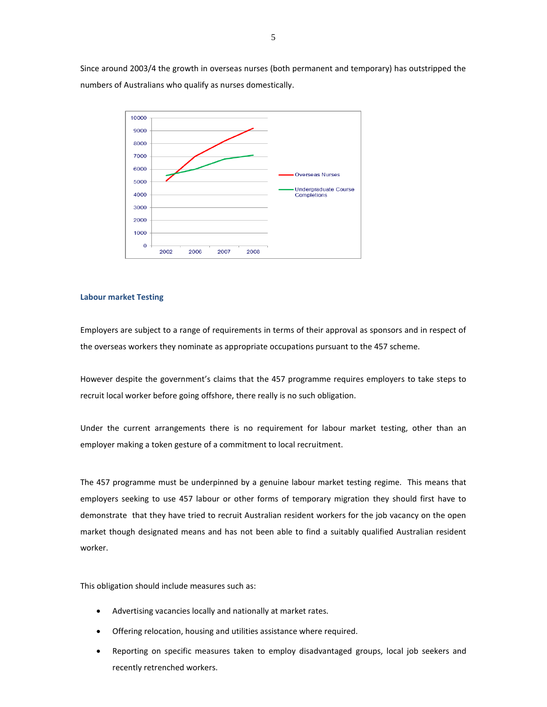Since around 2003/4 the growth in overseas nurses (both permanent and temporary) has outstripped the numbers of Australians who qualify as nurses domestically.



#### **Labour market Testing**

Employers are subject to a range of requirements in terms of their approval as sponsors and in respect of the overseas workers they nominate as appropriate occupations pursuant to the 457 scheme.

However despite the government's claims that the 457 programme requires employers to take steps to recruit local worker before going offshore, there really is no such obligation.

Under the current arrangements there is no requirement for labour market testing, other than an employer making a token gesture of a commitment to local recruitment.

The 457 programme must be underpinned by a genuine labour market testing regime. This means that employers seeking to use 457 labour or other forms of temporary migration they should first have to demonstrate that they have tried to recruit Australian resident workers for the job vacancy on the open market though designated means and has not been able to find a suitably qualified Australian resident worker.

This obligation should include measures such as:

- Advertising vacancies locally and nationally at market rates.
- Offering relocation, housing and utilities assistance where required.
- Reporting on specific measures taken to employ disadvantaged groups, local job seekers and recently retrenched workers.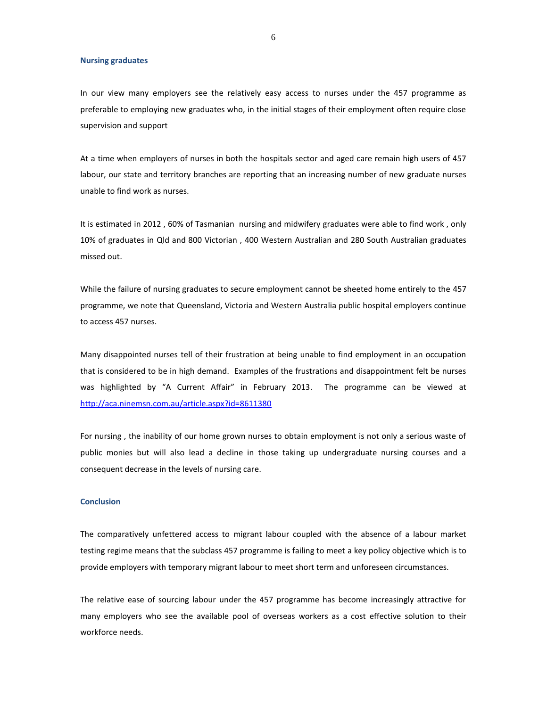#### **Nursing graduates**

In our view many employers see the relatively easy access to nurses under the 457 programme as preferable to employing new graduates who, in the initial stages of their employment often require close supervision and support

At a time when employers of nurses in both the hospitals sector and aged care remain high users of 457 labour, our state and territory branches are reporting that an increasing number of new graduate nurses unable to find work as nurses.

It is estimated in 2012 , 60% of Tasmanian nursing and midwifery graduates were able to find work , only 10% of graduates in Qld and 800 Victorian , 400 Western Australian and 280 South Australian graduates missed out.

While the failure of nursing graduates to secure employment cannot be sheeted home entirely to the 457 programme, we note that Queensland, Victoria and Western Australia public hospital employers continue to access 457 nurses.

Many disappointed nurses tell of their frustration at being unable to find employment in an occupation that is considered to be in high demand. Examples of the frustrations and disappointment felt be nurses was highlighted by "A Current Affair" in February 2013. The programme can be viewed at [http://aca.ninemsn.com.au/article.aspx?id=8611380](http://aca.ninemsn.com.au/article.aspx?id=8611380%20%20) 

For nursing , the inability of our home grown nurses to obtain employment is not only a serious waste of public monies but will also lead a decline in those taking up undergraduate nursing courses and a consequent decrease in the levels of nursing care.

#### **Conclusion**

The comparatively unfettered access to migrant labour coupled with the absence of a labour market testing regime means that the subclass 457 programme is failing to meet a key policy objective which is to provide employers with temporary migrant labour to meet short term and unforeseen circumstances.

The relative ease of sourcing labour under the 457 programme has become increasingly attractive for many employers who see the available pool of overseas workers as a cost effective solution to their workforce needs.